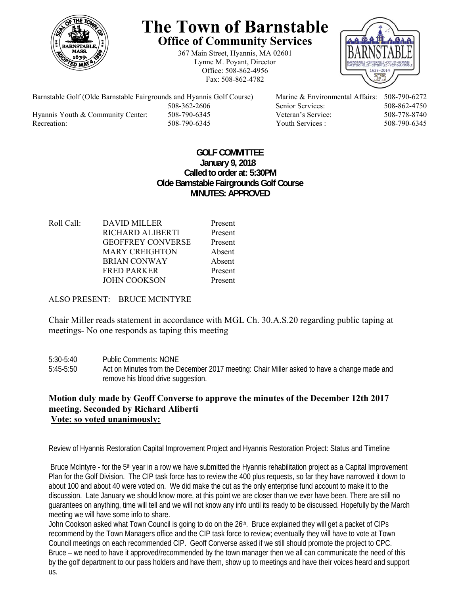

## **The Town of Barnstable Office of Community Services**

367 Main Street, Hyannis, MA 02601 Lynne M. Poyant, Director Office: 508-862-4956 Fax: 508-862-4782



Barnstable Golf (Olde Barnstable Fairgrounds and Hyannis Golf Course) Marine & Environmental Affairs: 508-790-6272 Hyannis Youth & Community Center: 508-790-6345 Veteran's Service: 508-778-8740 Recreation: 508-790-6345 Youth Services : 508-790-6345 S08-790-6345

508-362-2606 Senior Services: 508-862-4750

## **GOLF COMMITTEE January 9, 2018 Called to order at: 5:30PM Olde Barnstable Fairgrounds Golf Course MINUTES: APPROVED**

Roll Call: DAVID MILLER Present RICHARD ALIBERTI Present GEOFFREY CONVERSE Present MARY CREIGHTON Absent BRIAN CONWAY Absent FRED PARKER Present JOHN COOKSON Present

ALSO PRESENT: BRUCE MCINTYRE

Chair Miller reads statement in accordance with MGL Ch. 30.A.S.20 regarding public taping at meetings- No one responds as taping this meeting

- 5:30-5:40 Public Comments: NONE
- 5:45-5:50 Act on Minutes from the December 2017 meeting: Chair Miller asked to have a change made and remove his blood drive suggestion.

## **Motion duly made by Geoff Converse to approve the minutes of the December 12th 2017 meeting. Seconded by Richard Aliberti Vote: so voted unanimously:**

Review of Hyannis Restoration Capital Improvement Project and Hyannis Restoration Project: Status and Timeline

Bruce McIntyre - for the 5<sup>th</sup> year in a row we have submitted the Hyannis rehabilitation project as a Capital Improvement Plan for the Golf Division. The CIP task force has to review the 400 plus requests, so far they have narrowed it down to about 100 and about 40 were voted on. We did make the cut as the only enterprise fund account to make it to the discussion. Late January we should know more, at this point we are closer than we ever have been. There are still no guarantees on anything, time will tell and we will not know any info until its ready to be discussed. Hopefully by the March meeting we will have some info to share.

John Cookson asked what Town Council is going to do on the 26<sup>th</sup>. Bruce explained they will get a packet of CIPs recommend by the Town Managers office and the CIP task force to review; eventually they will have to vote at Town Council meetings on each recommended CIP. Geoff Converse asked if we still should promote the project to CPC. Bruce – we need to have it approved/recommended by the town manager then we all can communicate the need of this by the golf department to our pass holders and have them, show up to meetings and have their voices heard and support us.